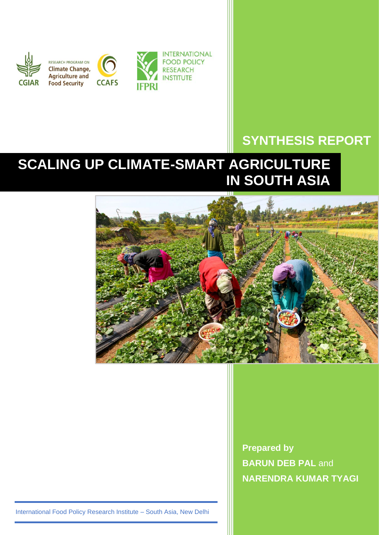

# **SYNTHESIS REPORT**

# **SCALING UP CLIMATE-SMART AGRICULTURE IN SOUTH ASIA**



**Prepared by BARUN DEB PAL and NARENDRA KUMAR TYAGI**

International Food Policy Research Institute – South Asia, New Delhi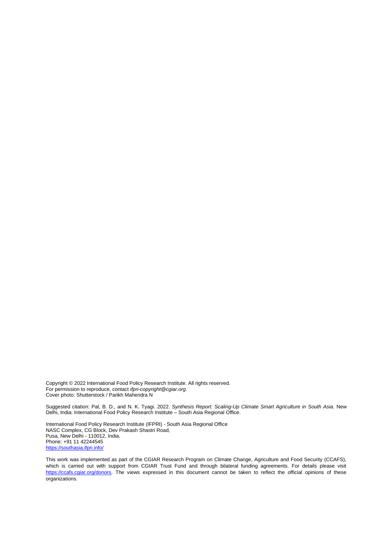Copyright © 2022 International Food Policy Research Institute. All rights reserved. For permission to reproduce, contact *ifpri-copyright@cgiar.org*. Cover photo: Shutterstock / Parikh Mahendra N

Suggested citation: Pal, B. D., and N. K. Tyagi. 2022. *Synthesis Report: Scaling-Up Climate Smart Agriculture in South Asia.* New Delhi, India: International Food Policy Research Institute – South Asia Regional Office.

International Food Policy Research Institute (IFPRI) - South Asia Regional Office NASC Complex, CG Block, Dev Prakash Shastri Road, Pusa, New Delhi - 110012, India. Phone: +91 11 42244545 <https://southasia.ifpri.info/>

This work was implemented as part of the CGIAR Research Program on Climate Change, Agriculture and Food Security (CCAFS), which is carried out with support from CGIAR Trust Fund and through bilateral funding agreements. For details please visit [https://ccafs.cgiar.org/donors.](https://ccafs.cgiar.org/donors) The views expressed in this document cannot be taken to reflect the official opinions of these organizations.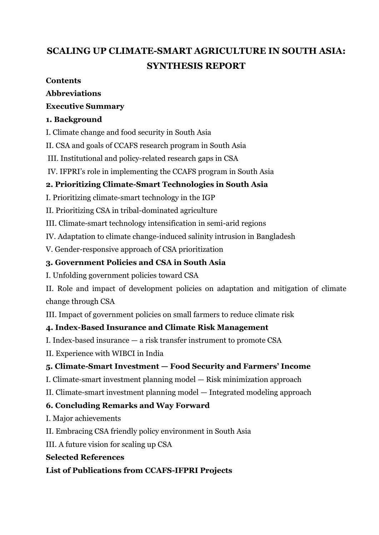# **SCALING UP CLIMATE-SMART AGRICULTURE IN SOUTH ASIA: SYNTHESIS REPORT**

#### **Contents**

#### **Abbreviations**

#### **Executive Summary**

#### **1. Background**

I. Climate change and food security in South Asia

II. CSA and goals of CCAFS research program in South Asia

III. Institutional and policy-related research gaps in CSA

IV. IFPRI's role in implementing the CCAFS program in South Asia

### **2. Prioritizing Climate-Smart Technologies in South Asia**

I. Prioritizing climate-smart technology in the IGP

II. Prioritizing CSA in tribal-dominated agriculture

III. Climate-smart technology intensification in semi-arid regions

IV. Adaptation to climate change-induced salinity intrusion in Bangladesh

V. Gender-responsive approach of CSA prioritization

#### **3. Government Policies and CSA in South Asia**

I. Unfolding government policies toward CSA

II. Role and impact of development policies on adaptation and mitigation of climate change through CSA

III. Impact of government policies on small farmers to reduce climate risk

#### **4. Index-Based Insurance and Climate Risk Management**

I. Index-based insurance — a risk transfer instrument to promote CSA

II. Experience with WIBCI in India

#### **5. Climate-Smart Investment — Food Security and Farmers' Income**

I. Climate-smart investment planning model — Risk minimization approach

II. Climate-smart investment planning model — Integrated modeling approach

#### **6. Concluding Remarks and Way Forward**

I. Major achievements

II. Embracing CSA friendly policy environment in South Asia

III. A future vision for scaling up CSA

#### **Selected References**

**List of Publications from CCAFS-IFPRI Projects**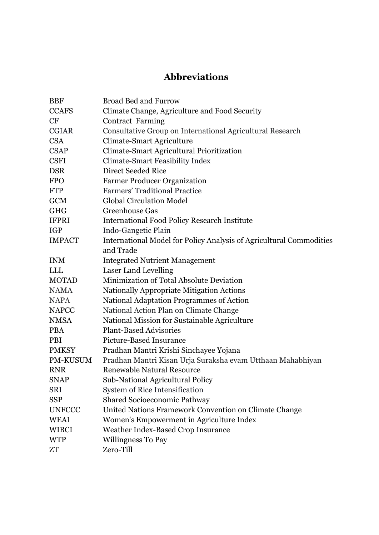# **Abbreviations**

| <b>BBF</b>    | <b>Broad Bed and Furrow</b>                                                |
|---------------|----------------------------------------------------------------------------|
| <b>CCAFS</b>  | Climate Change, Agriculture and Food Security                              |
| <b>CF</b>     | <b>Contract Farming</b>                                                    |
| <b>CGIAR</b>  | Consultative Group on International Agricultural Research                  |
| <b>CSA</b>    | <b>Climate-Smart Agriculture</b>                                           |
| <b>CSAP</b>   | Climate-Smart Agricultural Prioritization                                  |
| <b>CSFI</b>   | <b>Climate-Smart Feasibility Index</b>                                     |
| <b>DSR</b>    | Direct Seeded Rice                                                         |
| <b>FPO</b>    | <b>Farmer Producer Organization</b>                                        |
| <b>FTP</b>    | <b>Farmers' Traditional Practice</b>                                       |
| <b>GCM</b>    | <b>Global Circulation Model</b>                                            |
| <b>GHG</b>    | Greenhouse Gas                                                             |
| <b>IFPRI</b>  | <b>International Food Policy Research Institute</b>                        |
| <b>IGP</b>    | Indo-Gangetic Plain                                                        |
| <b>IMPACT</b> | <b>International Model for Policy Analysis of Agricultural Commodities</b> |
|               | and Trade                                                                  |
| <b>INM</b>    | <b>Integrated Nutrient Management</b>                                      |
| <b>LLL</b>    | Laser Land Levelling                                                       |
| <b>MOTAD</b>  | Minimization of Total Absolute Deviation                                   |
| <b>NAMA</b>   | Nationally Appropriate Mitigation Actions                                  |
| <b>NAPA</b>   | National Adaptation Programmes of Action                                   |
| <b>NAPCC</b>  | National Action Plan on Climate Change                                     |
| <b>NMSA</b>   | National Mission for Sustainable Agriculture                               |
| <b>PBA</b>    | <b>Plant-Based Advisories</b>                                              |
| <b>PBI</b>    | Picture-Based Insurance                                                    |
| <b>PMKSY</b>  | Pradhan Mantri Krishi Sinchayee Yojana                                     |
| PM-KUSUM      | Pradhan Mantri Kisan Urja Suraksha evam Utthaan Mahabhiyan                 |
| <b>RNR</b>    | <b>Renewable Natural Resource</b>                                          |
| <b>SNAP</b>   | Sub-National Agricultural Policy                                           |
| <b>SRI</b>    | System of Rice Intensification                                             |
| <b>SSP</b>    | <b>Shared Socioeconomic Pathway</b>                                        |
| <b>UNFCCC</b> | United Nations Framework Convention on Climate Change                      |
| <b>WEAI</b>   | Women's Empowerment in Agriculture Index                                   |
| <b>WIBCI</b>  | Weather Index-Based Crop Insurance                                         |
| <b>WTP</b>    | Willingness To Pay                                                         |
| ZT            | Zero-Till                                                                  |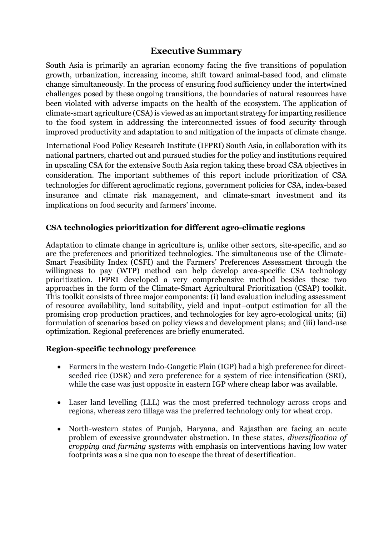#### **Executive Summary**

South Asia is primarily an agrarian economy facing the five transitions of population growth, urbanization, increasing income, shift toward animal-based food, and climate change simultaneously. In the process of ensuring food sufficiency under the intertwined challenges posed by these ongoing transitions, the boundaries of natural resources have been violated with adverse impacts on the health of the ecosystem. The application of climate-smart agriculture (CSA) is viewed as an important strategy for imparting resilience to the food system in addressing the interconnected issues of food security through improved productivity and adaptation to and mitigation of the impacts of climate change.

International Food Policy Research Institute (IFPRI) South Asia, in collaboration with its national partners, charted out and pursued studies for the policy and institutions required in upscaling CSA for the extensive South Asia region taking these broad CSA objectives in consideration. The important subthemes of this report include prioritization of CSA technologies for different agroclimatic regions, government policies for CSA, index-based insurance and climate risk management, and climate-smart investment and its implications on food security and farmers' income.

#### **CSA technologies prioritization for different agro-climatic regions**

Adaptation to climate change in agriculture is, unlike other sectors, site-specific, and so are the preferences and prioritized technologies. The simultaneous use of the Climate-Smart Feasibility Index (CSFI) and the Farmers' Preferences Assessment through the willingness to pay (WTP) method can help develop area-specific CSA technology prioritization. IFPRI developed a very comprehensive method besides these two approaches in the form of the Climate-Smart Agricultural Prioritization (CSAP) toolkit. This toolkit consists of three major components: (i) land evaluation including assessment of resource availability, land suitability, yield and input–output estimation for all the promising crop production practices, and technologies for key agro-ecological units; (ii) formulation of scenarios based on policy views and development plans; and (iii) land-use optimization. Regional preferences are briefly enumerated.

#### **Region-specific technology preference**

- Farmers in the western Indo-Gangetic Plain (IGP) had a high preference for directseeded rice (DSR) and zero preference for a system of rice intensification (SRI), while the case was just opposite in eastern IGP where cheap labor was available.
- Laser land levelling (LLL) was the most preferred technology across crops and regions, whereas zero tillage was the preferred technology only for wheat crop.
- North-western states of Punjab, Haryana, and Rajasthan are facing an acute problem of excessive groundwater abstraction. In these states, *diversification of cropping and farming systems* with emphasis on interventions having low water footprints was a sine qua non to escape the threat of desertification.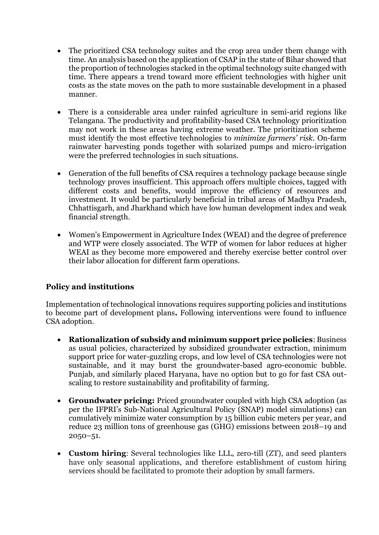- The prioritized CSA technology suites and the crop area under them change with time. An analysis based on the application of CSAP in the state of Bihar showed that the proportion of technologies stacked in the optimal technology suite changed with time. There appears a trend toward more efficient technologies with higher unit costs as the state moves on the path to more sustainable development in a phased manner.
- There is a considerable area under rainfed agriculture in semi-arid regions like Telangana. The productivity and profitability-based CSA technology prioritization may not work in these areas having extreme weather. The prioritization scheme must identify the most effective technologies to *minimize farmers' risk*. On-farm rainwater harvesting ponds together with solarized pumps and micro-irrigation were the preferred technologies in such situations.
- Generation of the full benefits of CSA requires a technology package because single technology proves insufficient. This approach offers multiple choices, tagged with different costs and benefits, would improve the efficiency of resources and investment. It would be particularly beneficial in tribal areas of Madhya Pradesh, Chhattisgarh, and Jharkhand which have low human development index and weak financial strength.
- Women's Empowerment in Agriculture Index (WEAI) and the degree of preference and WTP were closely associated. The WTP of women for labor reduces at higher WEAI as they become more empowered and thereby exercise better control over their labor allocation for different farm operations.

#### **Policy and institutions**

Implementation of technological innovations requires supporting policies and institutions to become part of development plans**.** Following interventions were found to influence CSA adoption.

- **Rationalization of subsidy and minimum support price policies**: Business as usual policies, characterized by subsidized groundwater extraction, minimum support price for water-guzzling crops, and low level of CSA technologies were not sustainable, and it may burst the groundwater-based agro-economic bubble. Punjab, and similarly placed Haryana, have no option but to go for fast CSA outscaling to restore sustainability and profitability of farming.
- **Groundwater pricing:** Priced groundwater coupled with high CSA adoption (as per the IFPRI's Sub-National Agricultural Policy (SNAP) model simulations) can cumulatively minimize water consumption by 15 billion cubic meters per year, and reduce 23 million tons of greenhouse gas (GHG) emissions between 2018–19 and 2050–51.
- **Custom hiring**: Several technologies like LLL, zero-till (ZT), and seed planters have only seasonal applications, and therefore establishment of custom hiring services should be facilitated to promote their adoption by small farmers.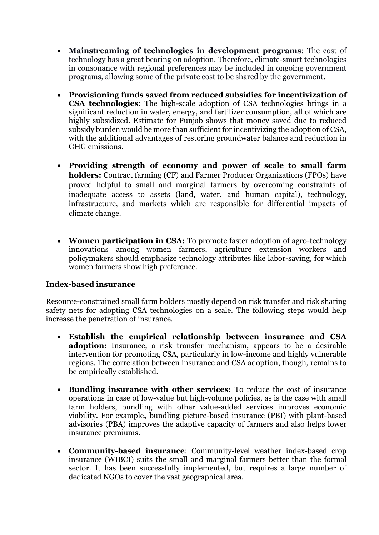- **Mainstreaming of technologies in development programs**: The cost of technology has a great bearing on adoption. Therefore, climate-smart technologies in consonance with regional preferences may be included in ongoing government programs, allowing some of the private cost to be shared by the government.
- **Provisioning funds saved from reduced subsidies for incentivization of CSA technologies**: The high-scale adoption of CSA technologies brings in a significant reduction in water, energy, and fertilizer consumption, all of which are highly subsidized. Estimate for Punjab shows that money saved due to reduced subsidy burden would be more than sufficient for incentivizing the adoption of CSA, with the additional advantages of restoring groundwater balance and reduction in GHG emissions.
- **Providing strength of economy and power of scale to small farm holders:** Contract farming (CF) and Farmer Producer Organizations (FPOs) have proved helpful to small and marginal farmers by overcoming constraints of inadequate access to assets (land, water, and human capital), technology, infrastructure, and markets which are responsible for differential impacts of climate change.
- **Women participation in CSA:** To promote faster adoption of agro-technology innovations among women farmers, agriculture extension workers and policymakers should emphasize technology attributes like labor-saving, for which women farmers show high preference.

#### **Index-based insurance**

Resource-constrained small farm holders mostly depend on risk transfer and risk sharing safety nets for adopting CSA technologies on a scale. The following steps would help increase the penetration of insurance.

- **Establish the empirical relationship between insurance and CSA adoption:** Insurance, a risk transfer mechanism, appears to be a desirable intervention for promoting CSA, particularly in low-income and highly vulnerable regions. The correlation between insurance and CSA adoption, though, remains to be empirically established.
- **Bundling insurance with other services:** To reduce the cost of insurance operations in case of low-value but high-volume policies, as is the case with small farm holders, bundling with other value-added services improves economic viability. For example**,** bundling picture-based insurance (PBI) with plant-based advisories (PBA) improves the adaptive capacity of farmers and also helps lower insurance premiums.
- **Community-based insurance**: Community-level weather index-based crop insurance (WIBCI) suits the small and marginal farmers better than the formal sector. It has been successfully implemented, but requires a large number of dedicated NGOs to cover the vast geographical area.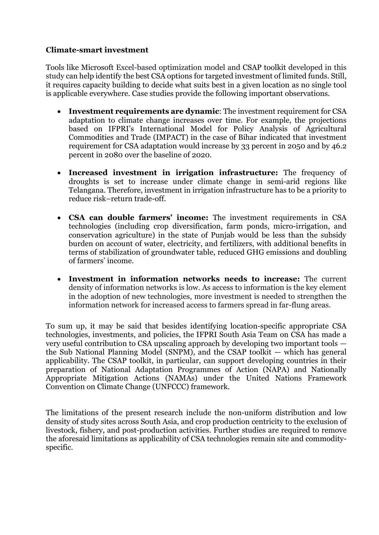#### **Climate-smart investment**

Tools like Microsoft Excel-based optimization model and CSAP toolkit developed in this study can help identify the best CSA options for targeted investment of limited funds. Still, it requires capacity building to decide what suits best in a given location as no single tool is applicable everywhere. Case studies provide the following important observations.

- **Investment requirements are dynamic**: The investment requirement for CSA adaptation to climate change increases over time. For example, the projections based on IFPRI's International Model for Policy Analysis of Agricultural Commodities and Trade (IMPACT) in the case of Bihar indicated that investment requirement for CSA adaptation would increase by 33 percent in 2050 and by 46.2 percent in 2080 over the baseline of 2020.
- **Increased investment in irrigation infrastructure:** The frequency of droughts is set to increase under climate change in semi-arid regions like Telangana. Therefore, investment in irrigation infrastructure has to be a priority to reduce risk–return trade-off.
- **CSA can double farmers' income:** The investment requirements in CSA technologies (including crop diversification, farm ponds, micro-irrigation, and conservation agriculture) in the state of Punjab would be less than the subsidy burden on account of water, electricity, and fertilizers, with additional benefits in terms of stabilization of groundwater table, reduced GHG emissions and doubling of farmers' income.
- **Investment in information networks needs to increase:** The current density of information networks is low. As access to information is the key element in the adoption of new technologies, more investment is needed to strengthen the information network for increased access to farmers spread in far-flung areas.

To sum up, it may be said that besides identifying location-specific appropriate CSA technologies, investments, and policies, the IFPRI South Asia Team on CSA has made a very useful contribution to CSA upscaling approach by developing two important tools the Sub National Planning Model (SNPM), and the CSAP toolkit — which has general applicability. The CSAP toolkit, in particular, can support developing countries in their preparation of National Adaptation Programmes of Action (NAPA) and Nationally Appropriate Mitigation Actions (NAMAs) under the United Nations Framework Convention on Climate Change (UNFCCC) framework.

The limitations of the present research include the non-uniform distribution and low density of study sites across South Asia, and crop production centricity to the exclusion of livestock, fishery, and post-production activities. Further studies are required to remove the aforesaid limitations as applicability of CSA technologies remain site and commodityspecific.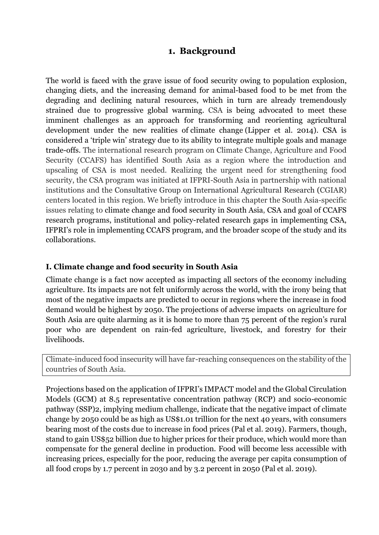#### **1. Background**

The world is faced with the grave issue of food security owing to population explosion, changing diets, and the increasing demand for animal-based food to be met from the degrading and declining natural resources, which in turn are already tremendously strained due to progressive global warming. CSA is being advocated to meet these imminent challenges as an approach for transforming and reorienting agricultural development under the new realities of climate change (Lipper et al. 2014). CSA is considered a 'triple win' strategy due to its ability to integrate multiple goals and manage trade-offs. The international research program on Climate Change, Agriculture and Food Security (CCAFS) has identified South Asia as a region where the introduction and upscaling of CSA is most needed. Realizing the urgent need for strengthening food security, the CSA program was initiated at IFPRI-South Asia in partnership with national institutions and the Consultative Group on International Agricultural Research (CGIAR) centers located in this region. We briefly introduce in this chapter the South Asia-specific issues relating to climate change and food security in South Asia, CSA and goal of CCAFS research programs, institutional and policy-related research gaps in implementing CSA, IFPRI's role in implementing CCAFS program, and the broader scope of the study and its collaborations.

#### **I. Climate change and food security in South Asia**

Climate change is a fact now accepted as impacting all sectors of the economy including agriculture. Its impacts are not felt uniformly across the world, with the irony being that most of the negative impacts are predicted to occur in regions where the increase in food demand would be highest by 2050. The projections of adverse impacts on agriculture for South Asia are quite alarming as it is home to more than 75 percent of the region's rural poor who are dependent on rain-fed agriculture, livestock, and forestry for their livelihoods.

Climate-induced food insecurity will have far-reaching consequences on the stability of the countries of South Asia.

Projections based on the application of IFPRI's IMPACT model and the Global Circulation Models (GCM) at 8.5 representative concentration pathway (RCP) and socio-economic pathway (SSP)2, implying medium challenge, indicate that the negative impact of climate change by 2050 could be as high as US\$1.01 trillion for the next 40 years, with consumers bearing most of the costs due to increase in food prices (Pal et al. 2019). Farmers, though, stand to gain US\$52 billion due to higher prices for their produce, which would more than compensate for the general decline in production. Food will become less accessible with increasing prices, especially for the poor, reducing the average per capita consumption of all food crops by 1.7 percent in 2030 and by 3.2 percent in 2050 (Pal et al. 2019).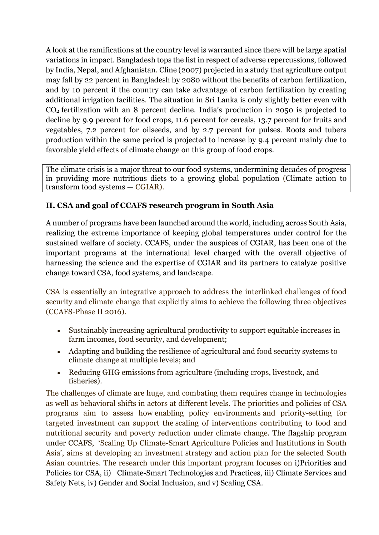A look at the ramifications at the country level is warranted since there will be large spatial variations in impact. Bangladesh tops the list in respect of adverse repercussions, followed by India, Nepal, and Afghanistan. Cline (2007) projected in a study that agriculture output may fall by 22 percent in Bangladesh by 2080 without the benefits of carbon fertilization, and by 10 percent if the country can take advantage of carbon fertilization by creating additional irrigation facilities. The situation in Sri Lanka is only slightly better even with CO2 fertilization with an 8 percent decline. India's production in 2050 is projected to decline by 9.9 percent for food crops, 11.6 percent for cereals, 13.7 percent for fruits and vegetables, 7.2 percent for oilseeds, and by 2.7 percent for pulses. Roots and tubers production within the same period is projected to increase by 9.4 percent mainly due to favorable yield effects of climate change on this group of food crops.

The climate crisis is a major threat to our food systems, undermining decades of progress in providing more nutritious diets to a growing global population (Climate action to transform food systems — CGIAR).

#### **II. CSA and goal of CCAFS research program in South Asia**

A number of programs have been launched around the world, including across South Asia, realizing the extreme importance of keeping global temperatures under control for the sustained welfare of society. CCAFS, under the auspices of CGIAR, has been one of the important programs at the international level charged with the overall objective of harnessing the science and the expertise of CGIAR and its partners to catalyze positive change toward CSA, food systems, and landscape.

CSA is essentially an integrative approach to address the interlinked challenges of food security and climate change that explicitly aims to achieve the following three objectives (CCAFS-Phase II 2016).

- Sustainably increasing agricultural productivity to support equitable increases in farm incomes, food security, and development;
- Adapting and building the resilience of agricultural and food security systems to climate change at multiple levels; and
- Reducing GHG emissions from agriculture (including crops, livestock, and fisheries).

The challenges of climate are huge, and combating them requires change in technologies as well as behavioral shifts in actors at different levels. The priorities and policies of CSA programs aim to assess how enabling policy environments and priority-setting for targeted investment can support the scaling of interventions contributing to food and nutritional security and poverty reduction under climate change. The flagship program under CCAFS, 'Scaling Up Climate-Smart Agriculture Policies and Institutions in South Asia', aims at developing an investment strategy and action plan for the selected South Asian countries. The research under this important program focuses on i[\)Priorities and](https://ccafs.cgiar.org/research/priorities-and-policies-climate-smart-agriculture)  [Policies for CSA,](https://ccafs.cgiar.org/research/priorities-and-policies-climate-smart-agriculture) ii) [Climate-Smart Technologies and Practices,](https://ccafs.cgiar.org/research/climate-smart-technologies-and-practices) iii) [Climate Services and](https://ccafs.cgiar.org/research/climate-services-and-safety-nets)  [Safety Nets,](https://ccafs.cgiar.org/research/climate-services-and-safety-nets) iv) [Gender and Social Inclusion,](https://ccafs.cgiar.org/research/gender-and-social-inclusion) and v) [Scaling CSA.](https://ccafs.cgiar.org/research/scaling-climate-smart-agriculture)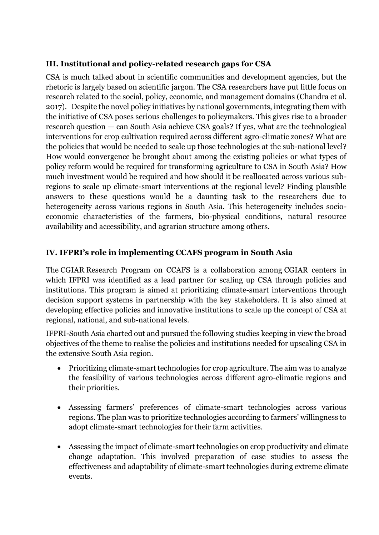#### **III. Institutional and policy-related research gaps for CSA**

CSA is much talked about in scientific communities and development agencies, but the rhetoric is largely based on scientific jargon. The CSA researchers have put little focus on research related to the social, policy, economic, and management domains (Chandra et al. 2017). Despite the novel policy initiatives by national governments, integrating them with the initiative of CSA poses serious challenges to policymakers. This gives rise to a broader research question — can South Asia achieve CSA goals? If yes, what are the technological interventions for crop cultivation required across different agro-climatic zones? What are the policies that would be needed to scale up those technologies at the sub-national level? How would convergence be brought about among the existing policies or what types of policy reform would be required for transforming agriculture to CSA in South Asia? How much investment would be required and how should it be reallocated across various subregions to scale up climate-smart interventions at the regional level? Finding plausible answers to these questions would be a daunting task to the researchers due to heterogeneity across various regions in South Asia. This heterogeneity includes socioeconomic characteristics of the farmers, bio-physical conditions, natural resource availability and accessibility, and agrarian structure among others.

#### **IV. IFPRI's role in implementing CCAFS program in South Asia**

The [CGIAR](http://www.cgiar.org/) Research Program on CCAFS is a collaboration among [CGIAR centers](http://ccafs.cgiar.org/cgiar-centers-and-programs) in which IFPRI was identified as a lead partner for scaling up CSA through policies and institutions. This program is aimed at prioritizing climate-smart interventions through decision support systems in partnership with the key stakeholders. It is also aimed at developing effective policies and innovative institutions to scale up the concept of CSA at regional, national, and sub-national levels.

IFPRI-South Asia charted out and pursued the following studies keeping in view the broad objectives of the theme to realise the policies and institutions needed for upscaling CSA in the extensive South Asia region.

- Prioritizing climate-smart technologies for crop agriculture. The aim was to analyze the feasibility of various technologies across different agro-climatic regions and their priorities.
- Assessing farmers' preferences of climate-smart technologies across various regions. The plan was to prioritize technologies according to farmers' willingness to adopt climate-smart technologies for their farm activities.
- Assessing the impact of climate-smart technologies on crop productivity and climate change adaptation. This involved preparation of case studies to assess the effectiveness and adaptability of climate-smart technologies during extreme climate events.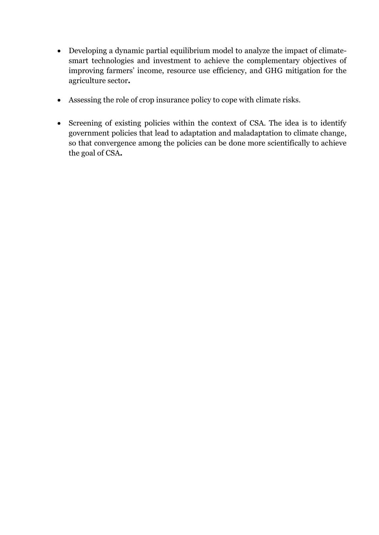- Developing a dynamic partial equilibrium model to analyze the impact of climatesmart technologies and investment to achieve the complementary objectives of improving farmers' income, resource use efficiency, and GHG mitigation for the agriculture sector**.**
- Assessing the role of crop insurance policy to cope with climate risks.
- Screening of existing policies within the context of CSA. The idea is to identify government policies that lead to adaptation and maladaptation to climate change, so that convergence among the policies can be done more scientifically to achieve the goal of CSA**.**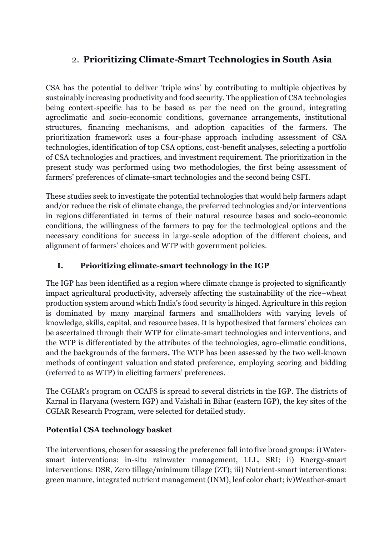# 2. **Prioritizing Climate-Smart Technologies in South Asia**

CSA has the potential to deliver 'triple wins' by contributing to multiple objectives by sustainably increasing productivity and food security. The application of CSA technologies being context-specific has to be based as per the need on the ground, integrating agroclimatic and socio-economic conditions, governance arrangements, institutional structures, financing mechanisms, and adoption capacities of the farmers. The prioritization framework uses a four-phase approach including assessment of CSA technologies, identification of top CSA options, cost-benefit analyses, selecting a portfolio of CSA technologies and practices, and investment requirement. The prioritization in the present study was performed using two methodologies, the first being assessment of farmers' preferences of climate-smart technologies and the second being CSFI.

These studies seek to investigate the potential technologies that would help farmers adapt and/or reduce the risk of climate change, the preferred technologies and/or interventions in regions differentiated in terms of their natural resource bases and socio-economic conditions, the willingness of the farmers to pay for the technological options and the necessary conditions for success in large-scale adoption of the different choices, and alignment of farmers' choices and WTP with government policies.

#### **I. Prioritizing climate-smart technology in the IGP**

The IGP has been identified as a region where climate change is projected to significantly impact agricultural productivity, adversely affecting the sustainability of the rice–wheat production system around which India's food security is hinged. Agriculture in this region is dominated by many marginal farmers and smallholders with varying levels of knowledge, skills, capital, and resource bases. It is hypothesized that farmers' choices can be ascertained through their WTP for climate-smart technologies and interventions, and the WTP is differentiated by the attributes of the technologies, agro-climatic conditions, and the backgrounds of the farmers**.** The WTP has been assessed by the two well-known methods of contingent valuation and stated preference, employing scoring and bidding (referred to as WTP) in eliciting farmers' preferences.

The CGIAR's program on CCAFS is spread to several districts in the IGP. The districts of Karnal in Haryana (western IGP) and Vaishali in Bihar (eastern IGP), the key sites of the CGIAR Research Program, were selected for detailed study.

#### **Potential CSA technology basket**

The interventions, chosen for assessing the preference fall into five broad groups: i) Watersmart interventions: in-situ rainwater management, LLL, SRI; ii) Energy-smart interventions: DSR, Zero tillage/minimum tillage (ZT); iii) Nutrient-smart interventions: green manure, integrated nutrient management (INM), leaf color chart; iv)Weather-smart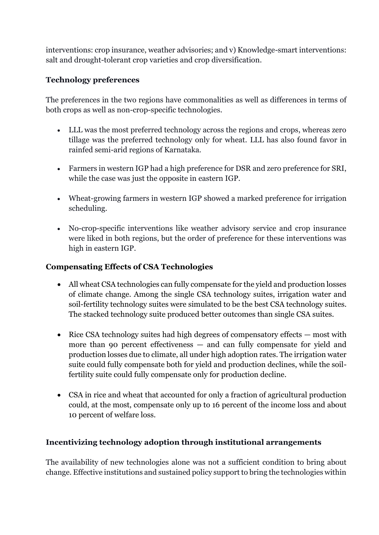interventions: crop insurance, weather advisories; and v) Knowledge-smart interventions: salt and drought-tolerant crop varieties and crop diversification.

#### **Technology preferences**

The preferences in the two regions have commonalities as well as differences in terms of both crops as well as non-crop-specific technologies.

- LLL was the most preferred technology across the regions and crops, whereas zero tillage was the preferred technology only for wheat. LLL has also found favor in rainfed semi-arid regions of Karnataka.
- Farmers in western IGP had a high preference for DSR and zero preference for SRI, while the case was just the opposite in eastern IGP.
- Wheat-growing farmers in western IGP showed a marked preference for irrigation scheduling.
- No-crop-specific interventions like weather advisory service and crop insurance were liked in both regions, but the order of preference for these interventions was high in eastern IGP.

#### **Compensating Effects of CSA Technologies**

- All wheat CSA technologies can fully compensate for the yield and production losses of climate change. Among the single CSA technology suites, irrigation water and soil-fertility technology suites were simulated to be the best CSA technology suites. The stacked technology suite produced better outcomes than single CSA suites.
- Rice CSA technology suites had high degrees of compensatory effects most with more than 90 percent effectiveness — and can fully compensate for yield and production losses due to climate, all under high adoption rates. The irrigation water suite could fully compensate both for yield and production declines, while the soilfertility suite could fully compensate only for production decline.
- CSA in rice and wheat that accounted for only a fraction of agricultural production could, at the most, compensate only up to 16 percent of the income loss and about 10 percent of welfare loss.

#### **Incentivizing technology adoption through institutional arrangements**

The availability of new technologies alone was not a sufficient condition to bring about change. Effective institutions and sustained policy support to bring the technologies within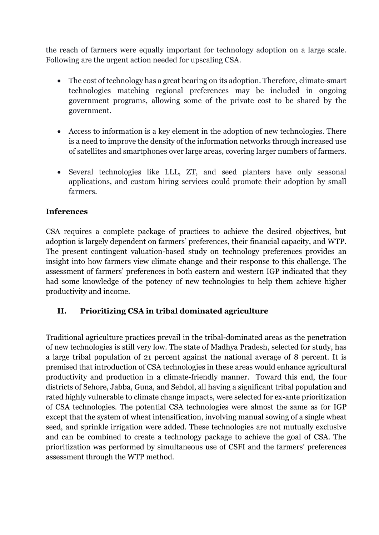the reach of farmers were equally important for technology adoption on a large scale. Following are the urgent action needed for upscaling CSA.

- The cost of technology has a great bearing on its adoption. Therefore, climate-smart technologies matching regional preferences may be included in ongoing government programs, allowing some of the private cost to be shared by the government.
- Access to information is a key element in the adoption of new technologies. There is a need to improve the density of the information networks through increased use of satellites and smartphones over large areas, covering larger numbers of farmers.
- Several technologies like LLL, ZT, and seed planters have only seasonal applications, and custom hiring services could promote their adoption by small farmers.

#### **Inferences**

CSA requires a complete package of practices to achieve the desired objectives, but adoption is largely dependent on farmers' preferences, their financial capacity, and WTP. The present contingent valuation-based study on technology preferences provides an insight into how farmers view climate change and their response to this challenge. The assessment of farmers' preferences in both eastern and western IGP indicated that they had some knowledge of the potency of new technologies to help them achieve higher productivity and income.

#### **II. Prioritizing CSA in tribal dominated agriculture**

Traditional agriculture practices prevail in the tribal-dominated areas as the penetration of new technologies is still very low. The state of Madhya Pradesh, selected for study, has a large tribal population of 21 percent against the national average of 8 percent. It is premised that introduction of CSA technologies in these areas would enhance agricultural productivity and production in a climate-friendly manner. Toward this end, the four districts of Sehore, Jabba, Guna, and Sehdol, all having a significant tribal population and rated highly vulnerable to climate change impacts, were selected for ex-ante prioritization of CSA technologies. The potential CSA technologies were almost the same as for IGP except that the system of wheat intensification, involving manual sowing of a single wheat seed, and sprinkle irrigation were added. These technologies are not mutually exclusive and can be combined to create a technology package to achieve the goal of CSA. The prioritization was performed by simultaneous use of CSFI and the farmers' preferences assessment through the WTP method.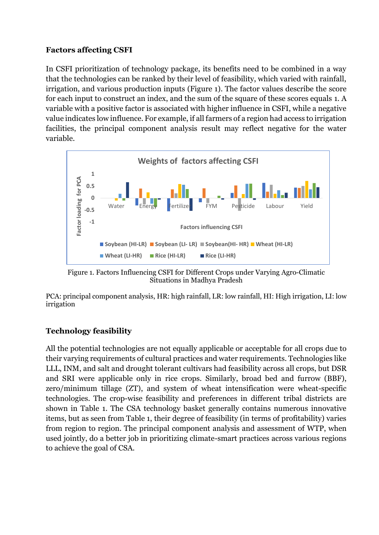#### **Factors affecting CSFI**

In CSFI prioritization of technology package, its benefits need to be combined in a way that the technologies can be ranked by their level of feasibility, which varied with rainfall, irrigation, and various production inputs (Figure 1). The factor values describe the score for each input to construct an index, and the sum of the square of these scores equals 1. A variable with a positive factor is associated with higher influence in CSFI, while a negative value indicates low influence. For example, if all farmers of a region had access to irrigation facilities, the principal component analysis result may reflect negative for the water variable.



Figure 1. Factors Influencing CSFI for Different Crops under Varying Agro-Climatic Situations in Madhya Pradesh

PCA: principal component analysis, HR: high rainfall, LR: low rainfall, HI: High irrigation, LI: low irrigation

#### **Technology feasibility**

All the potential technologies are not equally applicable or acceptable for all crops due to their varying requirements of cultural practices and water requirements. Technologies like LLL, INM, and salt and drought tolerant cultivars had feasibility across all crops, but DSR and SRI were applicable only in rice crops. Similarly, broad bed and furrow (BBF), zero/minimum tillage (ZT), and system of wheat intensification were wheat-specific technologies. The crop-wise feasibility and preferences in different tribal districts are shown in Table 1. The CSA technology basket generally contains numerous innovative items, but as seen from Table 1, their degree of feasibility (in terms of profitability) varies from region to region. The principal component analysis and assessment of WTP, when used jointly, do a better job in prioritizing climate-smart practices across various regions to achieve the goal of CSA.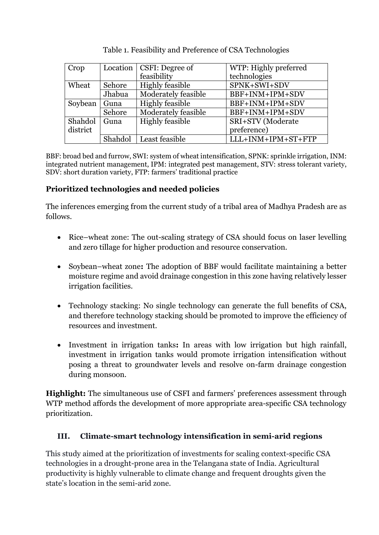| Crop     | Location | CSFI: Degree of        | WTP: Highly preferred |
|----------|----------|------------------------|-----------------------|
|          |          | feasibility            | technologies          |
| Wheat    | Sehore   | <b>Highly feasible</b> | SPNK+SWI+SDV          |
|          | Jhabua   | Moderately feasible    | BBF+INM+IPM+SDV       |
| Soybean  | Guna     | <b>Highly feasible</b> | BBF+INM+IPM+SDV       |
|          | Sehore   | Moderately feasible    | BBF+INM+IPM+SDV       |
| Shahdol  | Guna     | <b>Highly feasible</b> | SRI+STV (Moderate     |
| district |          |                        | preference)           |
|          | Shahdol  | Least feasible         | LLL+INM+IPM+ST+FTP    |

|  | Table 1. Feasibility and Preference of CSA Technologies |  |  |
|--|---------------------------------------------------------|--|--|
|  |                                                         |  |  |

BBF: broad bed and furrow, SWI: system of wheat intensification, SPNK: sprinkle irrigation, INM: integrated nutrient management, IPM: integrated pest management, STV: stress tolerant variety, SDV: short duration variety, FTP: farmers' traditional practice

#### **Prioritized technologies and needed policies**

The inferences emerging from the current study of a tribal area of Madhya Pradesh are as follows.

- Rice–wheat zone: The out-scaling strategy of CSA should focus on laser levelling and zero tillage for higher production and resource conservation.
- Soybean–wheat zone**:** The adoption of BBF would facilitate maintaining a better moisture regime and avoid drainage congestion in this zone having relatively lesser irrigation facilities.
- Technology stacking: No single technology can generate the full benefits of CSA, and therefore technology stacking should be promoted to improve the efficiency of resources and investment.
- Investment in irrigation tanks**:** In areas with low irrigation but high rainfall, investment in irrigation tanks would promote irrigation intensification without posing a threat to groundwater levels and resolve on-farm drainage congestion during monsoon.

**Highlight:** The simultaneous use of CSFI and farmers' preferences assessment through WTP method affords the development of more appropriate area-specific CSA technology prioritization.

#### **III. Climate-smart technology intensification in semi-arid regions**

This study aimed at the prioritization of investments for scaling context-specific CSA technologies in a drought-prone area in the Telangana state of India. Agricultural productivity is highly vulnerable to climate change and frequent droughts given the state's location in the semi-arid zone.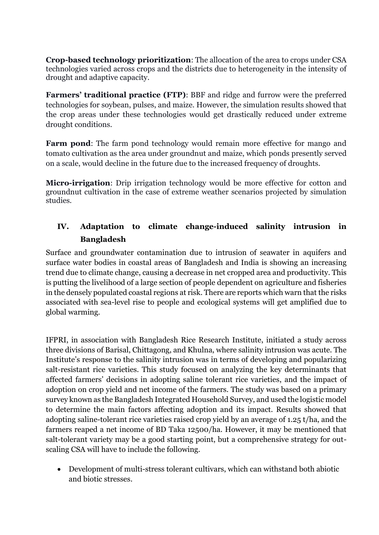**Crop-based technology prioritization**: The allocation of the area to crops under CSA technologies varied across crops and the districts due to heterogeneity in the intensity of drought and adaptive capacity.

**Farmers' traditional practice (FTP)**: BBF and ridge and furrow were the preferred technologies for soybean, pulses, and maize. However, the simulation results showed that the crop areas under these technologies would get drastically reduced under extreme drought conditions.

**Farm pond**: The farm pond technology would remain more effective for mango and tomato cultivation as the area under groundnut and maize, which ponds presently served on a scale, would decline in the future due to the increased frequency of droughts.

**Micro-irrigation**: Drip irrigation technology would be more effective for cotton and groundnut cultivation in the case of extreme weather scenarios projected by simulation studies.

### **IV. Adaptation to climate change-induced salinity intrusion in Bangladesh**

Surface and groundwater contamination due to intrusion of seawater in aquifers and surface water bodies in coastal areas of Bangladesh and India is showing an increasing trend due to climate change, causing a decrease in net cropped area and productivity. This is putting the livelihood of a large section of people dependent on agriculture and fisheries in the densely populated coastal regions at risk. There are reports which warn that the risks associated with sea-level rise to people and ecological systems will get amplified due to global warming.

IFPRI, in association with Bangladesh Rice Research Institute, initiated a study across three divisions of Barisal, Chittagong, and Khulna, where salinity intrusion was acute. The Institute's response to the salinity intrusion was in terms of developing and popularizing salt-resistant rice varieties. This study focused on analyzing the key determinants that affected farmers' decisions in adopting saline tolerant rice varieties, and the impact of adoption on crop yield and net income of the farmers. The study was based on a primary survey known as the Bangladesh Integrated Household Survey, and used the logistic model to determine the main factors affecting adoption and its impact. Results showed that adopting saline-tolerant rice varieties raised crop yield by an average of 1.25 t/ha, and the farmers reaped a net income of BD Taka 12500/ha. However, it may be mentioned that salt-tolerant variety may be a good starting point, but a comprehensive strategy for outscaling CSA will have to include the following.

• Development of multi-stress tolerant cultivars, which can withstand both abiotic and biotic stresses.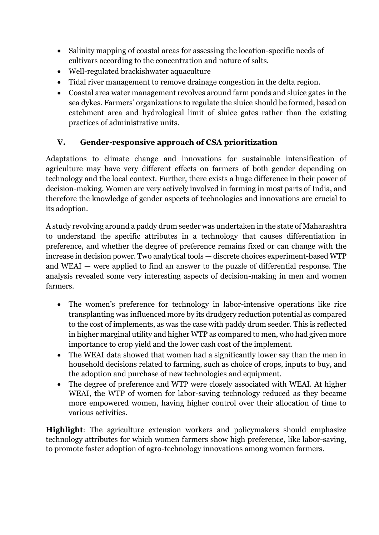- Salinity mapping of coastal areas for assessing the location-specific needs of cultivars according to the concentration and nature of salts.
- Well-regulated brackishwater aquaculture
- Tidal river management to remove drainage congestion in the delta region.
- Coastal area water management revolves around farm ponds and sluice gates in the sea dykes. Farmers' organizations to regulate the sluice should be formed, based on catchment area and hydrological limit of sluice gates rather than the existing practices of administrative units.

#### **V. Gender-responsive approach of CSA prioritization**

Adaptations to climate change and innovations for sustainable intensification of agriculture may have very different effects on farmers of both gender depending on technology and the local context. Further, there exists a huge difference in their power of decision-making. Women are very actively involved in farming in most parts of India, and therefore the knowledge of gender aspects of technologies and innovations are crucial to its adoption.

A study revolving around a paddy drum seeder was undertaken in the state of Maharashtra to understand the specific attributes in a technology that causes differentiation in preference, and whether the degree of preference remains fixed or can change with the increase in decision power. Two analytical tools — discrete choices experiment-based WTP and WEAI — were applied to find an answer to the puzzle of differential response. The analysis revealed some very interesting aspects of decision-making in men and women farmers.

- The women's preference for technology in labor-intensive operations like rice transplanting was influenced more by its drudgery reduction potential as compared to the cost of implements, as was the case with paddy drum seeder. This is reflected in higher marginal utility and higher WTP as compared to men, who had given more importance to crop yield and the lower cash cost of the implement.
- The WEAI data showed that women had a significantly lower say than the men in household decisions related to farming, such as choice of crops, inputs to buy, and the adoption and purchase of new technologies and equipment.
- The degree of preference and WTP were closely associated with WEAI. At higher WEAI, the WTP of women for labor-saving technology reduced as they became more empowered women, having higher control over their allocation of time to various activities.

**Highlight**: The agriculture extension workers and policymakers should emphasize technology attributes for which women farmers show high preference, like labor-saving, to promote faster adoption of agro-technology innovations among women farmers.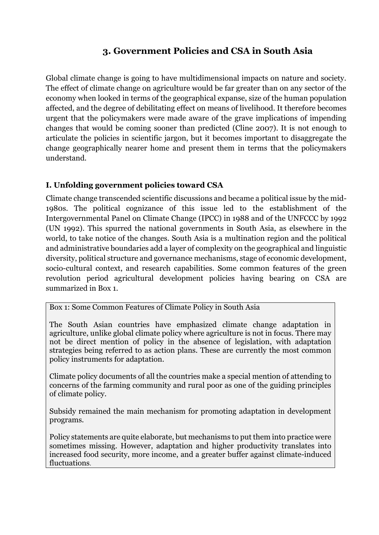### **3. Government Policies and CSA in South Asia**

Global climate change is going to have multidimensional impacts on nature and society. The effect of climate change on agriculture would be far greater than on any sector of the economy when looked in terms of the geographical expanse, size of the human population affected, and the degree of debilitating effect on means of livelihood. It therefore becomes urgent that the policymakers were made aware of the grave implications of impending changes that would be coming sooner than predicted (Cline 2007). It is not enough to articulate the policies in scientific jargon, but it becomes important to disaggregate the change geographically nearer home and present them in terms that the policymakers understand.

#### **I. Unfolding government policies toward CSA**

Climate change transcended scientific discussions and became a political issue by the mid-1980s. The political cognizance of this issue led to the establishment of the Intergovernmental Panel on Climate Change (IPCC) in 1988 and of the UNFCCC by 1992 (UN 1992). This spurred the national governments in South Asia, as elsewhere in the world, to take notice of the changes. South Asia is a multination region and the political and administrative boundaries add a layer of complexity on the geographical and linguistic diversity, political structure and governance mechanisms, stage of economic development, socio-cultural context, and research capabilities. Some common features of the green revolution period agricultural development policies having bearing on CSA are summarized in Box 1.

Box 1: Some Common Features of Climate Policy in South Asia

The South Asian countries have emphasized climate change adaptation in agriculture, unlike global climate policy where agriculture is not in focus. There may not be direct mention of policy in the absence of legislation, with adaptation strategies being referred to as action plans. These are currently the most common policy instruments for adaptation.

Climate policy documents of all the countries make a special mention of attending to concerns of the farming community and rural poor as one of the guiding principles of climate policy.

Subsidy remained the main mechanism for promoting adaptation in development programs.

Policy statements are quite elaborate, but mechanisms to put them into practice were sometimes missing. However, adaptation and higher productivity translates into increased food security, more income, and a greater buffer against climate-induced fluctuations.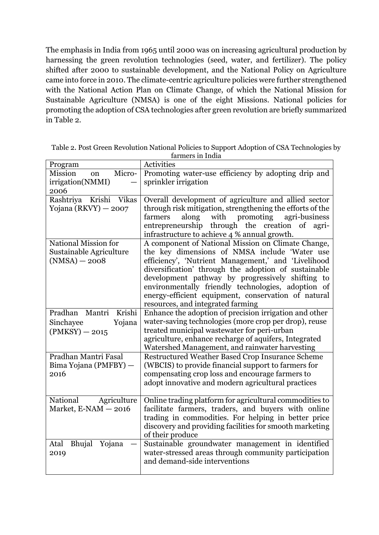The emphasis in India from 1965 until 2000 was on increasing agricultural production by harnessing the green revolution technologies (seed, water, and fertilizer). The policy shifted after 2000 to sustainable development, and the National Policy on Agriculture came into force in 2010. The climate-centric agriculture policies were further strengthened with the National Action Plan on Climate Change, of which the National Mission for Sustainable Agriculture (NMSA) is one of the eight Missions. National policies for promoting the adoption of CSA technologies after green revolution are briefly summarized in Table 2.

| Program                                                            | Activities                                                                                                                                                                                                                                                                                                                                                                                                               |
|--------------------------------------------------------------------|--------------------------------------------------------------------------------------------------------------------------------------------------------------------------------------------------------------------------------------------------------------------------------------------------------------------------------------------------------------------------------------------------------------------------|
| <b>Mission</b><br>Micro-<br>on<br>irrigation(NMMI)                 | Promoting water-use efficiency by adopting drip and<br>sprinkler irrigation                                                                                                                                                                                                                                                                                                                                              |
| 2006                                                               |                                                                                                                                                                                                                                                                                                                                                                                                                          |
| Rashtriya Krishi Vikas<br>Yojana (RKVY) - 2007                     | Overall development of agriculture and allied sector<br>through risk mitigation, strengthening the efforts of the                                                                                                                                                                                                                                                                                                        |
|                                                                    | along<br>with promoting<br>agri-business<br>farmers<br>entrepreneurship through the creation of<br>agri-<br>infrastructure to achieve 4 % annual growth.                                                                                                                                                                                                                                                                 |
| National Mission for<br>Sustainable Agriculture<br>$(NMSA) - 2008$ | A component of National Mission on Climate Change,<br>the key dimensions of NMSA include 'Water use<br>efficiency', 'Nutrient Management,' and 'Livelihood<br>diversification' through the adoption of sustainable<br>development pathway by progressively shifting to<br>environmentally friendly technologies, adoption of<br>energy-efficient equipment, conservation of natural<br>resources, and integrated farming |
| Pradhan Mantri<br>Krishi                                           | Enhance the adoption of precision irrigation and other                                                                                                                                                                                                                                                                                                                                                                   |
| Yojana<br>Sinchayee                                                | water-saving technologies (more crop per drop), reuse                                                                                                                                                                                                                                                                                                                                                                    |
| $(PMKSY) - 2015$                                                   | treated municipal wastewater for peri-urban                                                                                                                                                                                                                                                                                                                                                                              |
|                                                                    | agriculture, enhance recharge of aquifers, Integrated<br>Watershed Management, and rainwater harvesting                                                                                                                                                                                                                                                                                                                  |
| Pradhan Mantri Fasal                                               | Restructured Weather Based Crop Insurance Scheme                                                                                                                                                                                                                                                                                                                                                                         |
| Bima Yojana (PMFBY) -                                              | (WBCIS) to provide financial support to farmers for                                                                                                                                                                                                                                                                                                                                                                      |
| 2016                                                               | compensating crop loss and encourage farmers to                                                                                                                                                                                                                                                                                                                                                                          |
|                                                                    | adopt innovative and modern agricultural practices                                                                                                                                                                                                                                                                                                                                                                       |
| National<br>Agriculture                                            | Online trading platform for agricultural commodities to                                                                                                                                                                                                                                                                                                                                                                  |
| Market, $E- NAM - 2016$                                            | facilitate farmers, traders, and buyers with online                                                                                                                                                                                                                                                                                                                                                                      |
|                                                                    | trading in commodities. For helping in better price                                                                                                                                                                                                                                                                                                                                                                      |
|                                                                    | discovery and providing facilities for smooth marketing<br>of their produce                                                                                                                                                                                                                                                                                                                                              |
| <b>Bhujal</b><br>Yojana<br>Atal                                    | Sustainable groundwater management in identified                                                                                                                                                                                                                                                                                                                                                                         |
| 2019                                                               | water-stressed areas through community participation                                                                                                                                                                                                                                                                                                                                                                     |
|                                                                    | and demand-side interventions                                                                                                                                                                                                                                                                                                                                                                                            |
|                                                                    |                                                                                                                                                                                                                                                                                                                                                                                                                          |

Table 2. Post Green Revolution National Policies to Support Adoption of CSA Technologies by farmers in India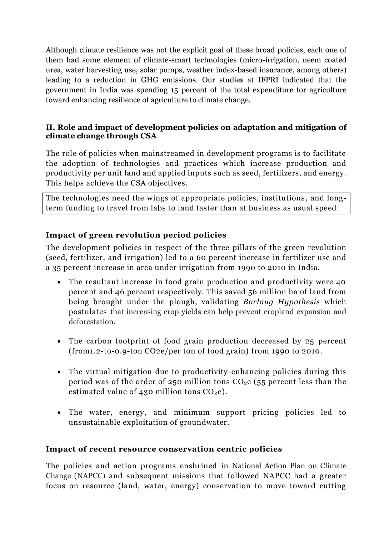Although climate resilience was not the explicit goal of these broad policies, each one of them had some element of climate-smart technologies (micro-irrigation, neem coated urea, water harvesting use, solar pumps, weather index-based insurance, among others) leading to a reduction in GHG emissions. Our studies at IFPRI indicated that the government in India was spending 15 percent of the total expenditure for agriculture toward enhancing resilience of agriculture to climate change.

#### **II. Role and impact of development policies on adaptation and mitigation of climate change through CSA**

The role of policies when mainstreamed in development programs is to facilitate the adoption of technologies and practices which increase production and productivity per unit land and applied inputs such as seed, fertilizers, and energy. This helps achieve the CSA objectives.

The technologies need the wings of appropriate policies, institutions , and longterm funding to travel from labs to land faster than at business as usual speed.

#### **Impact of green revolution period policies**

The development policies in respect of the three pillars of the green revolution (seed, fertilizer, and irrigation) led to a 60 percent increase in fertilizer use and a 35 percent increase in area under irrigation from 1990 to 2010 in India.

- The resultant increase in food grain production and productivity were 40 percent and 46 percent respectively. This saved 56 million ha of land from being brought under the plough, validating *Borlaug Hypothesis* which postulates that increasing crop yields can help prevent cropland expansion and deforestation.
- The carbon footprint of food grain production decreased by 25 percent (from1.2-to-0.9-ton CO2e/per ton of food grain) from 1990 to 2010.
- The virtual mitigation due to productivity-enhancing policies during this period was of the order of 250 million tons  $CO<sub>2</sub>e$  (55 percent less than the estimated value of 430 million tons  $CO<sub>2</sub>e$ ).
- The water, energy, and minimum support pricing policies led to unsustainable exploitation of groundwater.

#### **Impact of recent resource conservation centric policies**

The policies and action programs enshrined in National Action Plan on Climate Change (NAPCC) and subsequent missions that followed NAPCC had a greater focus on resource (land, water, energy) conservation to move toward cutting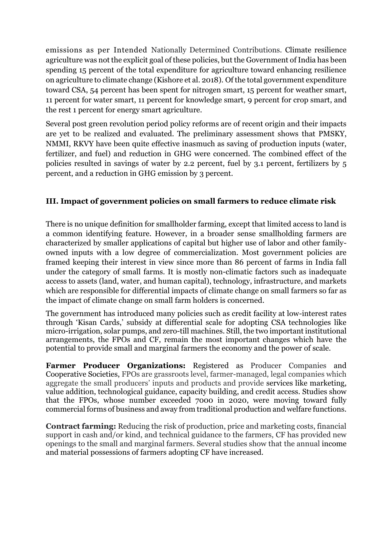emissions as per Intended Nationally Determined Contributions. Climate resilience agriculture was not the explicit goal of these policies, but the Government of India has been spending 15 percent of the total expenditure for agriculture toward enhancing resilience on agriculture to climate change (Kishore et al. 2018). Of the total government expenditure toward CSA, 54 percent has been spent for nitrogen smart, 15 percent for weather smart, 11 percent for water smart, 11 percent for knowledge smart, 9 percent for crop smart, and the rest 1 percent for energy smart agriculture.

Several post green revolution period policy reforms are of recent origin and their impacts are yet to be realized and evaluated. The preliminary assessment shows that PMSKY, NMMI, RKVY have been quite effective inasmuch as saving of production inputs (water, fertilizer, and fuel) and reduction in GHG were concerned. The combined effect of the policies resulted in savings of water by 2.2 percent, fuel by 3.1 percent, fertilizers by 5 percent, and a reduction in GHG emission by 3 percent.

#### **III. Impact of government policies on small farmers to reduce climate risk**

There is no unique definition for smallholder farming, except that limited access to land is a common identifying feature. However, in a broader sense smallholding farmers are characterized by smaller applications of capital but higher use of labor and other familyowned inputs with a low degree of commercialization. Most government policies are framed keeping their interest in view since more than 86 percent of farms in India fall under the category of small farms. It is mostly non-climatic factors such as inadequate access to assets (land, water, and human capital), technology, infrastructure, and markets which are responsible for differential impacts of climate change on small farmers so far as the impact of climate change on small farm holders is concerned.

The government has introduced many policies such as credit facility at low-interest rates through 'Kisan Cards,' subsidy at differential scale for adopting CSA technologies like micro-irrigation, solar pumps, and zero-till machines. Still, the two important institutional arrangements, the FPOs and CF, remain the most important changes which have the potential to provide small and marginal farmers the economy and the power of scale.

**Farmer Producer Organizations:** Registered as Producer Companies and Cooperative Societies, FPOs are grassroots level, farmer-managed, legal companies which aggregate the small producers' inputs and products and provide services like marketing, value addition, technological guidance, capacity building, and credit access. Studies show that the FPOs, whose number exceeded 7000 in 2020, were moving toward fully commercial forms of business and away from traditional production and welfare functions.

**Contract farming:** Reducing the risk of production, price and marketing costs, financial support in cash and/or kind, and technical guidance to the farmers, CF has provided new openings to the small and marginal farmers. Several studies show that the annual income and material possessions of farmers adopting CF have increased.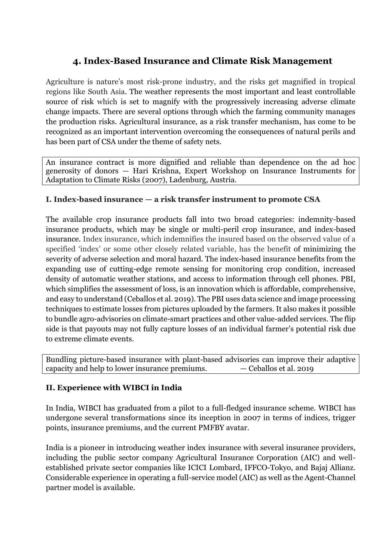## **4. Index-Based Insurance and Climate Risk Management**

Agriculture is nature's most risk-prone industry, and the risks get magnified in tropical regions like South Asia. The weather represents the most important and least controllable source of risk which is set to magnify with the progressively increasing adverse climate change impacts. There are several options through which the farming community manages the production risks. Agricultural insurance, as a risk transfer mechanism, has come to be recognized as an important intervention overcoming the consequences of natural perils and has been part of CSA under the theme of safety nets.

An insurance contract is more dignified and reliable than dependence on the ad hoc generosity of donors — Hari Krishna, Expert Workshop on Insurance Instruments for Adaptation to Climate Risks (2007), Ladenburg, Austria.

#### **I. Index-based insurance — a risk transfer instrument to promote CSA**

The available crop insurance products fall into two broad categories: indemnity-based insurance products, which may be single or multi-peril crop insurance, and index-based insurance. Index insurance, which indemnifies the insured based on the observed value of a specified 'index' or some other closely related variable, has the benefit of minimizing the severity of adverse selection and moral hazard. The index-based insurance benefits from the expanding use of cutting-edge remote sensing for monitoring crop condition, increased density of automatic weather stations, and access to information through cell phones. PBI, which simplifies the assessment of loss, is an innovation which is affordable, comprehensive, and easy to understand (Ceballos et al. 2019). The PBI uses data science and image processing techniques to estimate losses from pictures uploaded by the farmers. It also makes it possible to bundle agro-advisories on climate-smart practices and other value-added services. The flip side is that payouts may not fully capture losses of an individual farmer's potential risk due to extreme climate events.

Bundling picture-based insurance with plant-based advisories can improve their adaptive capacity and help to lower insurance premiums.  $-$  Ceballos et al. 2019

#### **II. Experience with WIBCI in India**

In India, WIBCI has graduated from a pilot to a full-fledged insurance scheme. WIBCI has undergone several transformations since its inception in 2007 in terms of indices, trigger points, insurance premiums, and the current PMFBY avatar.

India is a pioneer in introducing weather index insurance with several insurance providers, including the public sector company Agricultural Insurance Corporation (AIC) and wellestablished private sector companies like ICICI Lombard, IFFCO-Tokyo, and Bajaj Allianz. Considerable experience in operating a full-service model (AIC) as well as the Agent-Channel partner model is available.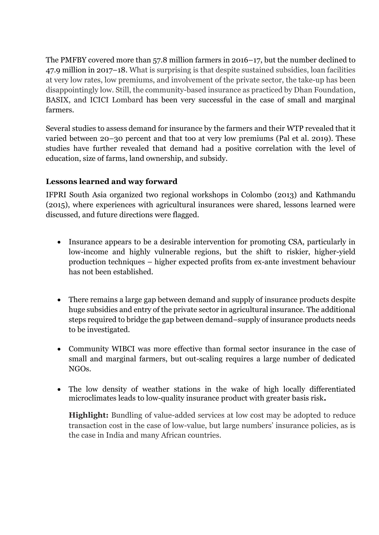The PMFBY covered more than 57.8 million farmers in 2016–17, but the number declined to 47.9 million in 2017–18. What is surprising is that despite sustained subsidies, loan facilities at very low rates, low premiums, and involvement of the private sector, the take-up has been disappointingly low. Still, the community-based insurance as practiced by Dhan Foundation, BASIX, and ICICI Lombard has been very successful in the case of small and marginal farmers.

Several studies to assess demand for insurance by the farmers and their WTP revealed that it varied between 20–30 percent and that too at very low premiums (Pal et al. 2019). These studies have further revealed that demand had a positive correlation with the level of education, size of farms, land ownership, and subsidy.

#### **Lessons learned and way forward**

IFPRI South Asia organized two regional workshops in Colombo (2013) and Kathmandu (2015), where experiences with agricultural insurances were shared, lessons learned were discussed, and future directions were flagged.

- Insurance appears to be a desirable intervention for promoting CSA, particularly in low-income and highly vulnerable regions, but the shift to riskier, higher-yield production techniques – higher expected profits from ex-ante investment behaviour has not been established.
- There remains a large gap between demand and supply of insurance products despite huge subsidies and entry of the private sector in agricultural insurance. The additional steps required to bridge the gap between demand–supply of insurance products needs to be investigated.
- Community WIBCI was more effective than formal sector insurance in the case of small and marginal farmers, but out-scaling requires a large number of dedicated NGOs.
- The low density of weather stations in the wake of high locally differentiated microclimates leads to low-quality insurance product with greater basis risk**.**

**Highlight:** Bundling of value-added services at low cost may be adopted to reduce transaction cost in the case of low-value, but large numbers' insurance policies, as is the case in India and many African countries.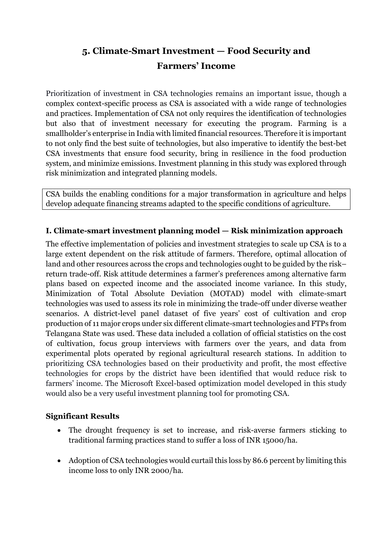# **5. Climate-Smart Investment — Food Security and Farmers' Income**

Prioritization of investment in CSA technologies remains an important issue, though a complex context-specific process as CSA is associated with a wide range of technologies and practices. Implementation of CSA not only requires the identification of technologies but also that of investment necessary for executing the program. Farming is a smallholder's enterprise in India with limited financial resources. Therefore it is important to not only find the best suite of technologies, but also imperative to identify the best-bet CSA investments that ensure food security, bring in resilience in the food production system, and minimize emissions. Investment planning in this study was explored through risk minimization and integrated planning models.

CSA builds the enabling conditions for a major transformation in agriculture and helps develop adequate financing streams adapted to the specific conditions of agriculture.

#### **I. Climate-smart investment planning model — Risk minimization approach**

The effective implementation of policies and investment strategies to scale up CSA is to a large extent dependent on the risk attitude of farmers. Therefore, optimal allocation of land and other resources across the crops and technologies ought to be guided by the risk– return trade-off. Risk attitude determines a farmer's preferences among alternative farm plans based on expected income and the associated income variance. In this study, Minimization of Total Absolute Deviation (MOTAD) model with climate-smart technologies was used to assess its role in minimizing the trade-off under diverse weather scenarios. A district-level panel dataset of five years' cost of cultivation and crop production of 11 major crops under six different climate-smart technologies and FTPs from Telangana State was used. These data included a collation of official statistics on the cost of cultivation, focus group interviews with farmers over the years, and data from experimental plots operated by regional agricultural research stations. In addition to prioritizing CSA technologies based on their productivity and profit, the most effective technologies for crops by the district have been identified that would reduce risk to farmers' income. The Microsoft Excel-based optimization model developed in this study would also be a very useful investment planning tool for promoting CSA.

#### **Significant Results**

- The drought frequency is set to increase, and risk-averse farmers sticking to traditional farming practices stand to suffer a loss of INR 15000/ha.
- Adoption of CSA technologies would curtail this loss by 86.6 percent by limiting this income loss to only INR 2000/ha.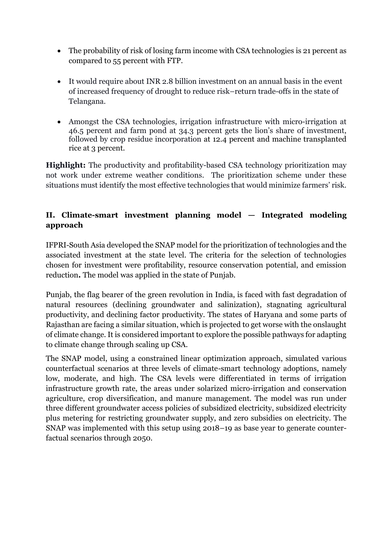- The probability of risk of losing farm income with CSA technologies is 21 percent as compared to 55 percent with FTP.
- It would require about INR 2.8 billion investment on an annual basis in the event of increased frequency of drought to reduce risk–return trade-offs in the state of Telangana.
- Amongst the CSA technologies, irrigation infrastructure with micro-irrigation at 46.5 percent and farm pond at 34.3 percent gets the lion's share of investment, followed by crop residue incorporation at 12.4 percent and machine transplanted rice at 3 percent.

**Highlight:** The productivity and profitability-based CSA technology prioritization may not work under extreme weather conditions. The prioritization scheme under these situations must identify the most effective technologies that would minimize farmers' risk.

#### **II. Climate-smart investment planning model — Integrated modeling approach**

IFPRI-South Asia developed the SNAP model for the prioritization of technologies and the associated investment at the state level. The criteria for the selection of technologies chosen for investment were profitability, resource conservation potential, and emission reduction**.** The model was applied in the state of Punjab.

Punjab, the flag bearer of the green revolution in India, is faced with fast degradation of natural resources (declining groundwater and salinization), stagnating agricultural productivity, and declining factor productivity. The states of Haryana and some parts of Rajasthan are facing a similar situation, which is projected to get worse with the onslaught of climate change. It is considered important to explore the possible pathways for adapting to climate change through scaling up CSA.

The SNAP model, using a constrained linear optimization approach, simulated various counterfactual scenarios at three levels of climate-smart technology adoptions, namely low, moderate, and high. The CSA levels were differentiated in terms of irrigation infrastructure growth rate, the areas under solarized micro-irrigation and conservation agriculture, crop diversification, and manure management. The model was run under three different groundwater access policies of subsidized electricity, subsidized electricity plus metering for restricting groundwater supply, and zero subsidies on electricity. The SNAP was implemented with this setup using 2018–19 as base year to generate counterfactual scenarios through 2050.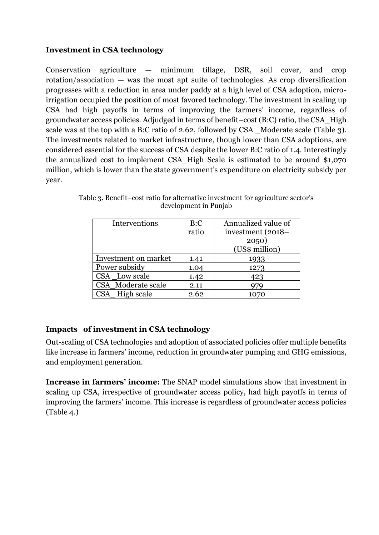#### **Investment in CSA technology**

Conservation agriculture — minimum tillage, DSR, soil cover, and crop rotation/association — was the most apt suite of technologies. As crop diversification progresses with a reduction in area under paddy at a high level of CSA adoption, microirrigation occupied the position of most favored technology. The investment in scaling up CSA had high payoffs in terms of improving the farmers' income, regardless of groundwater access policies. Adjudged in terms of benefit–cost (B:C) ratio, the CSA\_High scale was at the top with a B:C ratio of 2.62, followed by CSA Moderate scale (Table 3). The investments related to market infrastructure, though lower than CSA adoptions, are considered essential for the success of CSA despite the lower B:C ratio of 1.4. Interestingly the annualized cost to implement CSA\_High Scale is estimated to be around \$1,070 million, which is lower than the state government's expenditure on electricity subsidy per year.

| Interventions        | B:C   | Annualized value of |
|----------------------|-------|---------------------|
|                      | ratio | investment (2018–   |
|                      |       | 2050)               |
|                      |       | (US\$ million)      |
| Investment on market | 1.41  | 1933                |
| Power subsidy        | 1.04  | 1273                |
| CSA Low scale        | 1.42  | 423                 |
| CSA Moderate scale   | 2.11  |                     |
| CSA_High scale       | 2.62  | 1070                |

Table 3. Benefit–cost ratio for alternative investment for agriculture sector's development in Punjab

#### **Impacts of investment in CSA technology**

Out-scaling of CSA technologies and adoption of associated policies offer multiple benefits like increase in farmers' income, reduction in groundwater pumping and GHG emissions, and employment generation.

**Increase in farmers' income:** The SNAP model simulations show that investment in scaling up CSA, irrespective of groundwater access policy, had high payoffs in terms of improving the farmers' income. This increase is regardless of groundwater access policies (Table 4.)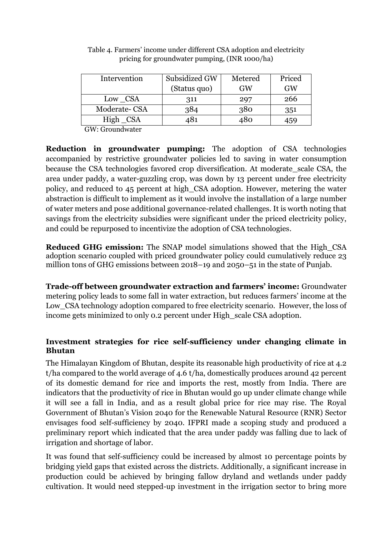| Intervention | Subsidized GW | Metered | Priced    |
|--------------|---------------|---------|-----------|
|              | (Status quo)  | GW      | <b>GW</b> |
| Low CSA      | 311           | 297     | 266       |
| Moderate-CSA | 384           | 380     | 351       |
| $High\_CSA$  | 481           | 480     | 459       |
|              |               |         |           |

Table 4. Farmers' income under different CSA adoption and electricity pricing for groundwater pumping, (INR 1000/ha)

GW: Groundwater

**Reduction in groundwater pumping:** The adoption of CSA technologies accompanied by restrictive groundwater policies led to saving in water consumption because the CSA technologies favored crop diversification. At moderate\_scale CSA, the area under paddy, a water-guzzling crop, was down by 13 percent under free electricity policy, and reduced to 45 percent at high\_CSA adoption. However, metering the water abstraction is difficult to implement as it would involve the installation of a large number of water meters and pose additional governance-related challenges. It is worth noting that savings from the electricity subsidies were significant under the priced electricity policy, and could be repurposed to incentivize the adoption of CSA technologies.

**Reduced GHG emission:** The SNAP model simulations showed that the High\_CSA adoption scenario coupled with priced groundwater policy could cumulatively reduce 23 million tons of GHG emissions between 2018–19 and 2050–51 in the state of Punjab.

**Trade-off between groundwater extraction and farmers' income:** Groundwater metering policy leads to some fall in water extraction, but reduces farmers' income at the Low CSA technology adoption compared to free electricity scenario. However, the loss of income gets minimized to only 0.2 percent under High scale CSA adoption.

#### **Investment strategies for rice self-sufficiency under changing climate in Bhutan**

The Himalayan Kingdom of Bhutan, despite its reasonable high productivity of rice at 4.2 t/ha compared to the world average of 4.6 t/ha, domestically produces around 42 percent of its domestic demand for rice and imports the rest, mostly from India. There are indicators that the productivity of rice in Bhutan would go up under climate change while it will see a fall in India, and as a result global price for rice may rise. The Royal Government of Bhutan's Vision 2040 for the Renewable Natural Resource (RNR) Sector envisages food self-sufficiency by 2040. IFPRI made a scoping study and produced a preliminary report which indicated that the area under paddy was falling due to lack of irrigation and shortage of labor.

It was found that self-sufficiency could be increased by almost 10 percentage points by bridging yield gaps that existed across the districts. Additionally, a significant increase in production could be achieved by bringing fallow dryland and wetlands under paddy cultivation. It would need stepped-up investment in the irrigation sector to bring more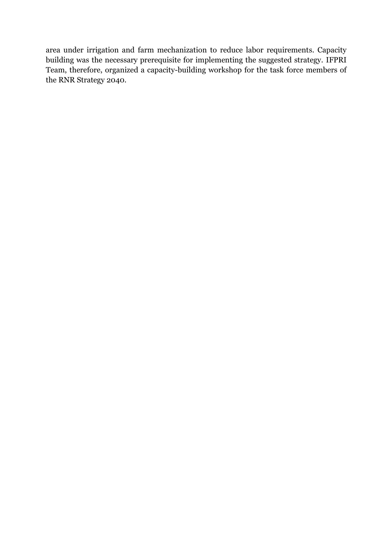area under irrigation and farm mechanization to reduce labor requirements. Capacity building was the necessary prerequisite for implementing the suggested strategy. IFPRI Team, therefore, organized a capacity-building workshop for the task force members of the RNR Strategy 2040.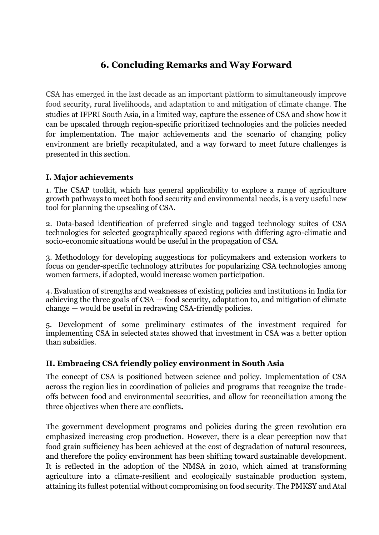# **6. Concluding Remarks and Way Forward**

CSA has emerged in the last decade as an important platform to simultaneously improve food security, rural livelihoods, and adaptation to and mitigation of climate change. The studies at IFPRI South Asia, in a limited way, capture the essence of CSA and show how it can be upscaled through region-specific prioritized technologies and the policies needed for implementation. The major achievements and the scenario of changing policy environment are briefly recapitulated, and a way forward to meet future challenges is presented in this section.

#### **I. Major achievements**

1. The CSAP toolkit, which has general applicability to explore a range of agriculture growth pathways to meet both food security and environmental needs, is a very useful new tool for planning the upscaling of CSA.

2. Data-based identification of preferred single and tagged technology suites of CSA technologies for selected geographically spaced regions with differing agro-climatic and socio-economic situations would be useful in the propagation of CSA.

3. Methodology for developing suggestions for policymakers and extension workers to focus on gender-specific technology attributes for popularizing CSA technologies among women farmers, if adopted, would increase women participation.

4. Evaluation of strengths and weaknesses of existing policies and institutions in India for achieving the three goals of CSA — food security, adaptation to, and mitigation of climate change — would be useful in redrawing CSA-friendly policies.

5. Development of some preliminary estimates of the investment required for implementing CSA in selected states showed that investment in CSA was a better option than subsidies.

#### **II. Embracing CSA friendly policy environment in South Asia**

The concept of CSA is positioned between science and policy. Implementation of CSA across the region lies in coordination of policies and programs that recognize the tradeoffs between food and environmental securities, and allow for reconciliation among the three objectives when there are conflicts**.**

The government development programs and policies during the green revolution era emphasized increasing crop production. However, there is a clear perception now that food grain sufficiency has been achieved at the cost of degradation of natural resources, and therefore the policy environment has been shifting toward sustainable development. It is reflected in the adoption of the NMSA in 2010, which aimed at transforming agriculture into a climate-resilient and ecologically sustainable production system, attaining its fullest potential without compromising on food security. The PMKSY and Atal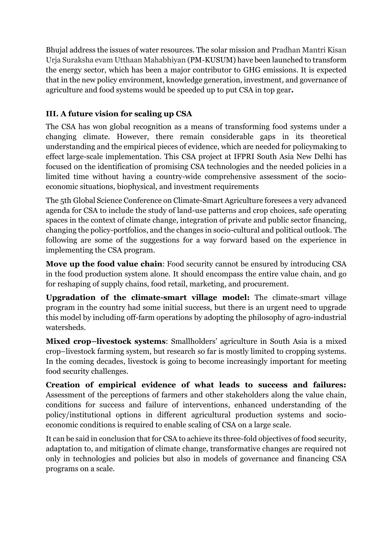Bhujal address the issues of water resources. The solar mission and Pradhan Mantri Kisan Urja Suraksha evam Utthaan Mahabhiyan (PM-KUSUM) have been launched to transform the energy sector, which has been a major contributor to GHG emissions. It is expected that in the new policy environment, knowledge generation, investment, and governance of agriculture and food systems would be speeded up to put CSA in top gear**.**

#### **III. A future vision for scaling up CSA**

The CSA has won global recognition as a means of transforming food systems under a changing climate. However, there remain considerable gaps in its theoretical understanding and the empirical pieces of evidence, which are needed for policymaking to effect large-scale implementation. This CSA project at IFPRI South Asia New Delhi has focused on the identification of promising CSA technologies and the needed policies in a limited time without having a country-wide comprehensive assessment of the socioeconomic situations, biophysical, and investment requirements

The 5th Global Science Conference on Climate-Smart Agriculture foresees a very advanced agenda for CSA to include the study of land-use patterns and crop choices, safe operating spaces in the context of climate change, integration of private and public sector financing, changing the policy-portfolios, and the changes in socio-cultural and political outlook. The following are some of the suggestions for a way forward based on the experience in implementing the CSA program.

**Move up the food value chain**: Food security cannot be ensured by introducing CSA in the food production system alone. It should encompass the entire value chain, and go for reshaping of supply chains, food retail, marketing, and procurement*.* 

**Upgradation of the climate-smart village model:** The climate-smart village program in the country had some initial success, but there is an urgent need to upgrade this model by including off-farm operations by adopting the philosophy of agro-industrial watersheds.

**Mixed crop–livestock systems**: Smallholders' agriculture in South Asia is a mixed crop–livestock farming system, but research so far is mostly limited to cropping systems. In the coming decades, livestock is going to become increasingly important for meeting food security challenges.

**Creation of empirical evidence of what leads to success and failures:** Assessment of the perceptions of farmers and other stakeholders along the value chain, conditions for success and failure of interventions, enhanced understanding of the policy/institutional options in different agricultural production systems and socioeconomic conditions is required to enable scaling of CSA on a large scale.

It can be said in conclusion that for CSA to achieve its three-fold objectives of food security, adaptation to, and mitigation of climate change, transformative changes are required not only in technologies and policies but also in models of governance and financing CSA programs on a scale.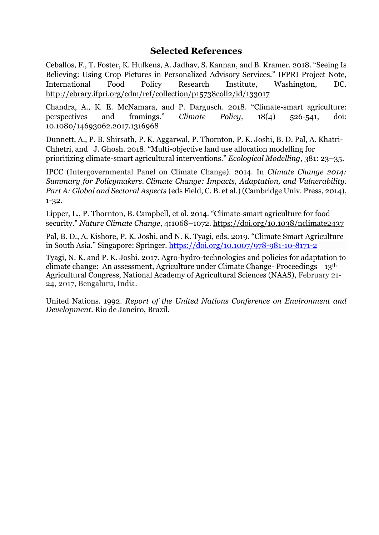#### **Selected References**

Ceballos, F., T. Foster, K. Hufkens, A. Jadhav, S. Kannan, and B. Kramer. 2018. "Seeing Is Believing: Using Crop Pictures in Personalized Advisory Services." IFPRI Project Note, International Food Policy Research Institute, Washington, DC. <http://ebrary.ifpri.org/cdm/ref/collection/p15738coll2/id/133017>

Chandra, A., K. E. McNamara, and P. Dargusch. 2018. "Climate-smart agriculture: perspectives and framings." *Climate Policy,* 18(4) 526-541, doi: 10.1080/14693062.2017.1316968

Dunnett, A., P. B. Shirsath, P. K. Aggarwal, P. Thornton, P. K. Joshi, B. D. Pal, A. Khatri-Chhetri, and J. Ghosh. 2018. "Multi-objective land use allocation modelling for prioritizing climate-smart agricultural interventions." *Ecological Modelling*, 381: 23–35.

IPCC (Intergovernmental Panel on Climate Change). 2014. In *Climate Change 2014: Summary for Policymakers. Climate Change: Impacts, Adaptation, and Vulnerability. Part A: Global and Sectoral Aspects* (eds Field, C. B. et al.) (Cambridge Univ. Press, 2014), 1-32.

Lipper, L., P. Thornton, B. Campbell, et al*.* 2014. "Climate-smart agriculture for food security." *Nature Climate Change*, 4**:**1068–1072. <https://doi.org/10.1038/nclimate2437>

Pal, B. D., A. Kishore, P. K. Joshi, and N. K. Tyagi, eds. 2019. "Climate Smart Agriculture in South Asia." Singapore: Springer.<https://doi.org/10.1007/978-981-10-8171-2>

Tyagi, N. K. and P. K. Joshi. 2017. Agro-hydro-technologies and policies for adaptation to climate change: An assessment, Agriculture under Climate Change- Proceedings 13th Agricultural Congress, National Academy of Agricultural Sciences (NAAS), February 21- 24, 2017, Bengaluru, India.

United Nations. 1992. *Report of the United Nations Conference on Environment and Development*. Rio de Janeiro, Brazil.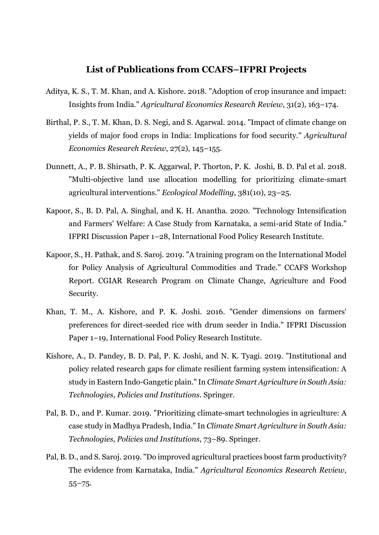#### **List of Publications from CCAFS–IFPRI Projects**

- Aditya, K. S., T. M. Khan, and A. Kishore. 2018. "Adoption of crop insurance and impact: Insights from India." *Agricultural Economics Research Review*, 31(2), 163–174.
- Birthal, P. S., T. M. Khan, D. S. Negi, and S. Agarwal. 2014. "Impact of climate change on yields of major food crops in India: Implications for food security." *Agricultural Economics Research Review*, 27(2), 145–155.
- Dunnett, A., P. B. Shirsath, P. K. Aggarwal, P. Thorton, P. K. Joshi, B. D. Pal et al. 2018. "Multi-objective land use allocation modelling for prioritizing climate-smart agricultural interventions." *Ecological Modelling*, 381(10), 23–25.
- Kapoor, S., B. D. Pal, A. Singhal, and K. H. Anantha. 2020. "Technology Intensification and Farmers' Welfare: A Case Study from Karnataka, a semi-arid State of India." IFPRI Discussion Paper 1–28, International Food Policy Research Institute.
- Kapoor, S., H. Pathak, and S. Saroj. 2019. "A training program on the International Model for Policy Analysis of Agricultural Commodities and Trade." CCAFS Workshop Report. CGIAR Research Program on Climate Change, Agriculture and Food Security.
- Khan, T. M., A. Kishore, and P. K. Joshi. 2016. "Gender dimensions on farmers' preferences for direct-seeded rice with drum seeder in India." IFPRI Discussion Paper 1–19, International Food Policy Research Institute.
- Kishore, A., D. Pandey, B. D. Pal, P. K. Joshi, and N. K. Tyagi. 2019. "Institutional and policy related research gaps for climate resilient farming system intensification: A study in Eastern Indo-Gangetic plain." In *Climate Smart Agriculture in South Asia: Technologies, Policies and Institutions.* Springer.
- Pal, B. D., and P. Kumar. 2019. "Prioritizing climate-smart technologies in agriculture: A case study in Madhya Pradesh, India." In *Climate Smart Agriculture in South Asia: Technologies, Policies and Institutions*, 73–89. Springer.
- Pal, B. D., and S. Saroj. 2019. "Do improved agricultural practices boost farm productivity? The evidence from Karnataka, India." *Agricultural Economics Research Review*, 55–75.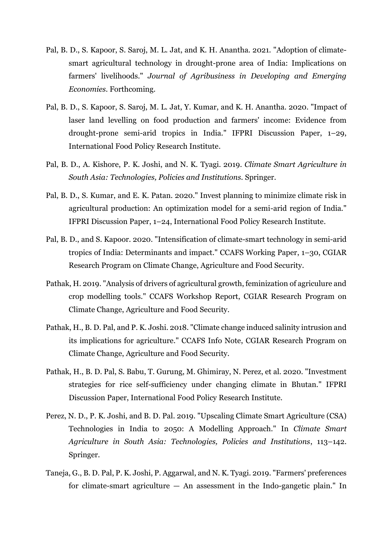- Pal, B. D., S. Kapoor, S. Saroj, M. L. Jat, and K. H. Anantha. 2021. "Adoption of climatesmart agricultural technology in drought-prone area of India: Implications on farmers' livelihoods." *Journal of Agribusiness in Developing and Emerging Economies*. Forthcoming.
- Pal, B. D., S. Kapoor, S. Saroj, M. L. Jat, Y. Kumar, and K. H. Anantha. 2020. "Impact of laser land levelling on food production and farmers' income: Evidence from drought-prone semi-arid tropics in India." IFPRI Discussion Paper, 1–29, International Food Policy Research Institute.
- Pal, B. D., A. Kishore, P. K. Joshi, and N. K. Tyagi. 2019. *Climate Smart Agriculture in South Asia: Technologies, Policies and Institutions.* Springer.
- Pal, B. D., S. Kumar, and E. K. Patan. 2020." Invest planning to minimize climate risk in agricultural production: An optimization model for a semi-arid region of India." IFPRI Discussion Paper, 1–24, International Food Policy Research Institute.
- Pal, B. D., and S. Kapoor. 2020. "Intensification of climate-smart technology in semi-arid tropics of India: Determinants and impact." CCAFS Working Paper, 1–30, CGIAR Research Program on Climate Change, Agriculture and Food Security.
- Pathak, H. 2019. "Analysis of drivers of agricultural growth, feminization of agriculure and crop modelling tools." CCAFS Workshop Report, CGIAR Research Program on Climate Change, Agriculture and Food Security.
- Pathak, H., B. D. Pal, and P. K. Joshi. 2018. "Climate change induced salinity intrusion and its implications for agriculture." CCAFS Info Note, CGIAR Research Program on Climate Change, Agriculture and Food Security.
- Pathak, H., B. D. Pal, S. Babu, T. Gurung, M. Ghimiray, N. Perez, et al. 2020. "Investment strategies for rice self-sufficiency under changing climate in Bhutan." IFPRI Discussion Paper, International Food Policy Research Institute.
- Perez, N. D., P. K. Joshi, and B. D. Pal. 2019. "Upscaling Climate Smart Agriculture (CSA) Technologies in India to 2050: A Modelling Approach." In *Climate Smart Agriculture in South Asia: Technologies, Policies and Institutions*, 113–142. Springer.
- Taneja, G., B. D. Pal, P. K. Joshi, P. Aggarwal, and N. K. Tyagi. 2019. "Farmers' preferences for climate-smart agriculture  $-$  An assessment in the Indo-gangetic plain." In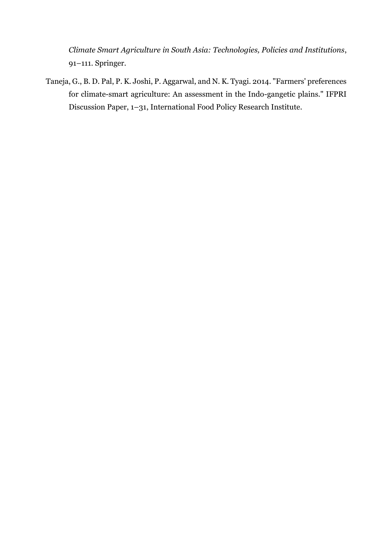*Climate Smart Agriculture in South Asia: Technologies, Policies and Institutions*, 91–111. Springer.

Taneja, G., B. D. Pal, P. K. Joshi, P. Aggarwal, and N. K. Tyagi. 2014. "Farmers' preferences for climate-smart agriculture: An assessment in the Indo-gangetic plains." IFPRI Discussion Paper, 1–31, International Food Policy Research Institute.